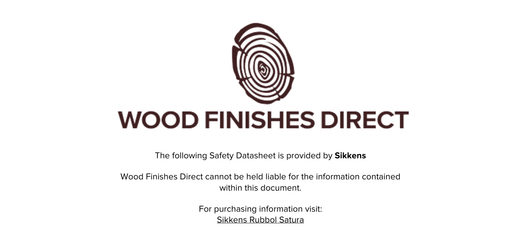

The following Safety Datasheet is provided by **Sikkens**

Wood Finishes Direct cannot be held liable for the information contained within this document

> For purchasing information visit: [Sikkens Rubbol Satura](https://www.wood-finishes-direct.com/product/sikkens-rubbol-satura-plus)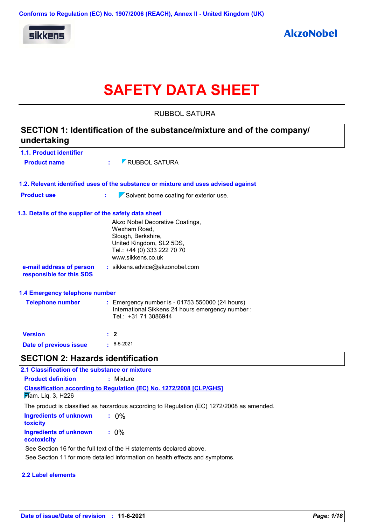

# **SAFETY DATA SHEET**

RUBBOL SATURA

| undertaking                                           | SECTION 1: Identification of the substance/mixture and of the company/                                                                                |
|-------------------------------------------------------|-------------------------------------------------------------------------------------------------------------------------------------------------------|
| 1.1. Product identifier                               |                                                                                                                                                       |
| <b>Product name</b>                                   | <b>ZRUBBOL SATURA</b><br>÷.                                                                                                                           |
|                                                       | 1.2. Relevant identified uses of the substance or mixture and uses advised against                                                                    |
| <b>Product use</b>                                    | ÷.<br>$\sqrt{\ }$ Solvent borne coating for exterior use.                                                                                             |
| 1.3. Details of the supplier of the safety data sheet |                                                                                                                                                       |
|                                                       | Akzo Nobel Decorative Coatings,<br>Wexham Road,<br>Slough, Berkshire,<br>United Kingdom, SL2 5DS,<br>Tel.: +44 (0) 333 222 70 70<br>www.sikkens.co.uk |
| e-mail address of person<br>responsible for this SDS  | : sikkens.advice@akzonobel.com                                                                                                                        |
| 1.4 Emergency telephone number                        |                                                                                                                                                       |
| <b>Telephone number</b>                               | : Emergency number is - 01753 550000 (24 hours)<br>International Sikkens 24 hours emergency number :<br>Tel.: +31 71 3086944                          |
| <b>Version</b>                                        | $\therefore$ 2                                                                                                                                        |
| Date of previous issue                                | $: 6 - 5 - 2021$                                                                                                                                      |
| <b>SECTION 2: Hazards identification</b>              |                                                                                                                                                       |
| 2.1 Classification of the substance or mixture        |                                                                                                                                                       |
| <b>Product definition</b>                             | : Mixture                                                                                                                                             |
| <b>Flam. Liq. 3, H226</b>                             | <b>Classification according to Regulation (EC) No. 1272/2008 [CLP/GHS]</b>                                                                            |
|                                                       | The product is classified as hazardous according to Regulation (EC) 1272/2008 as amended.                                                             |
| <b>Ingredients of unknown</b><br>toxicity             | $: 0\%$                                                                                                                                               |
| <b>Ingredients of unknown</b><br>ecotoxicity          | $: 0\%$                                                                                                                                               |

See Section 16 for the full text of the H statements declared above.

See Section 11 for more detailed information on health effects and symptoms.

#### **2.2 Label elements**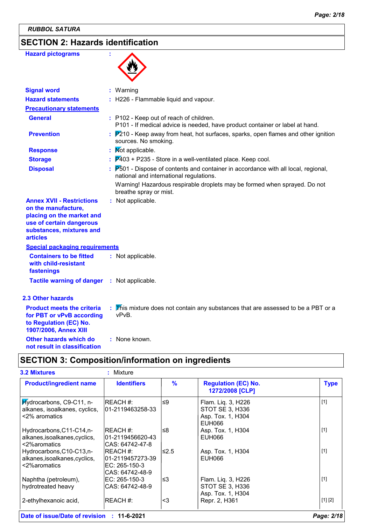## **SECTION 2: Hazards identification**

| <b>Hazard pictograms</b>                                                                                                                                        |                                                                                                                                    |
|-----------------------------------------------------------------------------------------------------------------------------------------------------------------|------------------------------------------------------------------------------------------------------------------------------------|
| <b>Signal word</b>                                                                                                                                              | : Warning                                                                                                                          |
| <b>Hazard statements</b>                                                                                                                                        | : H226 - Flammable liquid and vapour.                                                                                              |
| <b>Precautionary statements</b>                                                                                                                                 |                                                                                                                                    |
| <b>General</b>                                                                                                                                                  | : P102 - Keep out of reach of children.<br>P101 - If medical advice is needed, have product container or label at hand.            |
| <b>Prevention</b>                                                                                                                                               | $P210$ - Keep away from heat, hot surfaces, sparks, open flames and other ignition<br>sources. No smoking.                         |
| <b>Response</b>                                                                                                                                                 | : Mot applicable.                                                                                                                  |
| <b>Storage</b>                                                                                                                                                  | $\overline{P}403$ + P235 - Store in a well-ventilated place. Keep cool.                                                            |
| <b>Disposal</b>                                                                                                                                                 | $P_{0}$ 501 - Dispose of contents and container in accordance with all local, regional,<br>national and international regulations. |
|                                                                                                                                                                 | Warning! Hazardous respirable droplets may be formed when sprayed. Do not<br>breathe spray or mist.                                |
| <b>Annex XVII - Restrictions</b><br>on the manufacture,<br>placing on the market and<br>use of certain dangerous<br>substances, mixtures and<br><b>articles</b> | : Not applicable.                                                                                                                  |
| <b>Special packaging requirements</b>                                                                                                                           |                                                                                                                                    |
| <b>Containers to be fitted</b><br>with child-resistant<br>fastenings                                                                                            | : Not applicable.                                                                                                                  |
| <b>Tactile warning of danger</b>                                                                                                                                | : Not applicable.                                                                                                                  |
| 2.3 Other hazards                                                                                                                                               |                                                                                                                                    |
| <b>Product meets the criteria</b><br>for PBT or vPvB according<br>to Regulation (EC) No.<br>1907/2006, Annex XIII                                               | : This mixture does not contain any substances that are assessed to be a PBT or a<br>vPvB.                                         |
| Other hazards which do                                                                                                                                          | : None known.                                                                                                                      |

## **SECTION 3: Composition/information on ingredients**

| <b>Product/ingredient name</b>                                             | <b>Identifiers</b>                                                 | $\frac{9}{6}$ | <b>Regulation (EC) No.</b><br>1272/2008 [CLP]                        | <b>Type</b> |
|----------------------------------------------------------------------------|--------------------------------------------------------------------|---------------|----------------------------------------------------------------------|-------------|
| Hydrocarbons, C9-C11, n-<br>alkanes, isoalkanes, cyclics,<br><2% aromatics | IREACH #:<br>l01-2119463258-33                                     | $\leq 9$      | Flam. Liq. 3, H226<br>STOT SE 3, H336<br>Asp. Tox. 1, H304<br>EUH066 | $[1]$       |
| Hydrocarbons, C11-C14, n-<br>alkanes, isoalkanes, cyclics,<br><2%aromatics | <b>IREACH #:</b><br>l01-2119456620-43<br>CAS: 64742-47-8           | l≤8           | Asp. Tox. 1, H304<br><b>EUH066</b>                                   | $[1]$       |
| Hydrocarbons, C10-C13, n-<br>alkanes, isoalkanes, cyclics,<br><2%aromatics | IREACH #:<br>101-2119457273-39<br>EC: 265-150-3<br>CAS: 64742-48-9 | l≤2.5         | Asp. Tox. 1, H304<br>EUH066                                          | $[1]$       |
| Naphtha (petroleum),<br>hydrotreated heavy                                 | EC: 265-150-3<br>CAS: 64742-48-9                                   | l≤3           | Flam. Liq. 3, H226<br>STOT SE 3, H336<br>Asp. Tox. 1, H304           | $[1]$       |
| 2-ethylhexanoic acid,                                                      | REACH #:                                                           | <3            | Repr. 2, H361                                                        | [1] [2]     |

**not result in classification**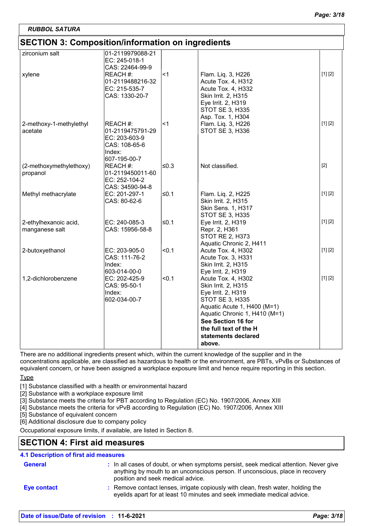## **SECTION 3: Composition/information on ingredients**

| <u>ULUTIUN U. UUMPUSINUMMIIUMINAIUM UN MYHEUIEMUS</u> |                  |         |                               |         |
|-------------------------------------------------------|------------------|---------|-------------------------------|---------|
| zirconium salt                                        | 01-2119979088-21 |         |                               |         |
|                                                       | EC: 245-018-1    |         |                               |         |
|                                                       | CAS: 22464-99-9  |         |                               |         |
| xylene                                                | REACH #:         | $<$ 1   | Flam. Liq. 3, H226            | [1] [2] |
|                                                       | 01-2119488216-32 |         | Acute Tox. 4, H312            |         |
|                                                       | EC: 215-535-7    |         | Acute Tox. 4, H332            |         |
|                                                       | CAS: 1330-20-7   |         | Skin Irrit. 2, H315           |         |
|                                                       |                  |         | Eye Irrit. 2, H319            |         |
|                                                       |                  |         | STOT SE 3, H335               |         |
|                                                       |                  |         | Asp. Tox. 1, H304             |         |
| 2-methoxy-1-methylethyl                               | REACH #:         | $<$ 1   | Flam. Liq. 3, H226            | [1] [2] |
| acetate                                               | 01-2119475791-29 |         | STOT SE 3, H336               |         |
|                                                       | EC: 203-603-9    |         |                               |         |
|                                                       | CAS: 108-65-6    |         |                               |         |
|                                                       | Index:           |         |                               |         |
|                                                       | 607-195-00-7     |         |                               |         |
| (2-methoxymethylethoxy)                               | REACH #:         | l≤0.3   | Not classified.               | $[2]$   |
| propanol                                              | 01-2119450011-60 |         |                               |         |
|                                                       | EC: 252-104-2    |         |                               |         |
|                                                       | CAS: 34590-94-8  |         |                               |         |
| Methyl methacrylate                                   | EC: 201-297-1    | ≤ $0.1$ | Flam. Liq. 2, H225            | [1] [2] |
|                                                       | CAS: 80-62-6     |         | Skin Irrit. 2, H315           |         |
|                                                       |                  |         | <b>Skin Sens. 1, H317</b>     |         |
|                                                       |                  |         | <b>STOT SE 3, H335</b>        |         |
| 2-ethylhexanoic acid,                                 | EC: 240-085-3    | ≤ $0.1$ | Eye Irrit. 2, H319            | [1] [2] |
| manganese salt                                        | CAS: 15956-58-8  |         | Repr. 2, H361                 |         |
|                                                       |                  |         | <b>STOT RE 2, H373</b>        |         |
|                                                       |                  |         | Aquatic Chronic 2, H411       |         |
| 2-butoxyethanol                                       | EC: 203-905-0    | < 0.1   | Acute Tox. 4, H302            | [1] [2] |
|                                                       | CAS: 111-76-2    |         | Acute Tox. 3, H331            |         |
|                                                       | Index:           |         | Skin Irrit. 2, H315           |         |
|                                                       | 603-014-00-0     |         | Eye Irrit. 2, H319            |         |
| 1,2-dichlorobenzene                                   | EC: 202-425-9    | < 0.1   | Acute Tox. 4, H302            | [1] [2] |
|                                                       | CAS: 95-50-1     |         | Skin Irrit. 2, H315           |         |
|                                                       | Index:           |         | Eye Irrit. 2, H319            |         |
|                                                       | 602-034-00-7     |         | <b>STOT SE 3, H335</b>        |         |
|                                                       |                  |         | Aquatic Acute 1, H400 (M=1)   |         |
|                                                       |                  |         | Aquatic Chronic 1, H410 (M=1) |         |
|                                                       |                  |         | See Section 16 for            |         |
|                                                       |                  |         | the full text of the H        |         |
|                                                       |                  |         | statements declared           |         |
|                                                       |                  |         | above.                        |         |
|                                                       |                  |         |                               |         |

There are no additional ingredients present which, within the current knowledge of the supplier and in the concentrations applicable, are classified as hazardous to health or the environment, are PBTs, vPvBs or Substances of equivalent concern, or have been assigned a workplace exposure limit and hence require reporting in this section.

**Type** 

[1] Substance classified with a health or environmental hazard

[2] Substance with a workplace exposure limit

[3] Substance meets the criteria for PBT according to Regulation (EC) No. 1907/2006, Annex XIII

[4] Substance meets the criteria for vPvB according to Regulation (EC) No. 1907/2006, Annex XIII

[5] Substance of equivalent concern

[6] Additional disclosure due to company policy

Occupational exposure limits, if available, are listed in Section 8.

## **SECTION 4: First aid measures**

#### **4.1 Description of first aid measures**

| <b>General</b> | : In all cases of doubt, or when symptoms persist, seek medical attention. Never give<br>anything by mouth to an unconscious person. If unconscious, place in recovery<br>position and seek medical advice. |
|----------------|-------------------------------------------------------------------------------------------------------------------------------------------------------------------------------------------------------------|
| Eye contact    | : Remove contact lenses, irrigate copiously with clean, fresh water, holding the<br>eyelids apart for at least 10 minutes and seek immediate medical advice.                                                |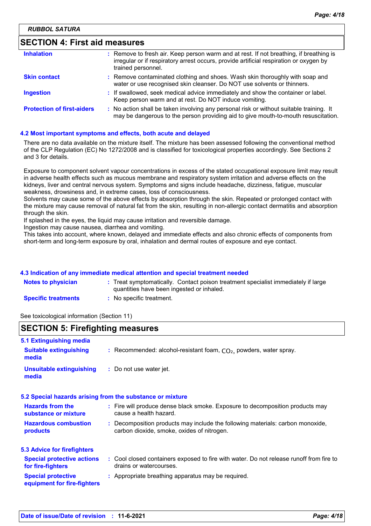| <b>SECTION 4: First aid measures</b> |                                                                                                                                                                                                        |  |  |
|--------------------------------------|--------------------------------------------------------------------------------------------------------------------------------------------------------------------------------------------------------|--|--|
| <b>Inhalation</b>                    | : Remove to fresh air. Keep person warm and at rest. If not breathing, if breathing is<br>irregular or if respiratory arrest occurs, provide artificial respiration or oxygen by<br>trained personnel. |  |  |
| <b>Skin contact</b>                  | : Remove contaminated clothing and shoes. Wash skin thoroughly with soap and<br>water or use recognised skin cleanser. Do NOT use solvents or thinners.                                                |  |  |
| <b>Ingestion</b>                     | : If swallowed, seek medical advice immediately and show the container or label.<br>Keep person warm and at rest. Do NOT induce vomiting.                                                              |  |  |
| <b>Protection of first-aiders</b>    | : No action shall be taken involving any personal risk or without suitable training. It<br>may be dangerous to the person providing aid to give mouth-to-mouth resuscitation.                          |  |  |

#### **4.2 Most important symptoms and effects, both acute and delayed**

There are no data available on the mixture itself. The mixture has been assessed following the conventional method of the CLP Regulation (EC) No 1272/2008 and is classified for toxicological properties accordingly. See Sections 2 and 3 for details.

Exposure to component solvent vapour concentrations in excess of the stated occupational exposure limit may result in adverse health effects such as mucous membrane and respiratory system irritation and adverse effects on the kidneys, liver and central nervous system. Symptoms and signs include headache, dizziness, fatigue, muscular weakness, drowsiness and, in extreme cases, loss of consciousness.

Solvents may cause some of the above effects by absorption through the skin. Repeated or prolonged contact with the mixture may cause removal of natural fat from the skin, resulting in non-allergic contact dermatitis and absorption through the skin.

If splashed in the eyes, the liquid may cause irritation and reversible damage.

Ingestion may cause nausea, diarrhea and vomiting.

This takes into account, where known, delayed and immediate effects and also chronic effects of components from short-term and long-term exposure by oral, inhalation and dermal routes of exposure and eye contact.

#### **4.3 Indication of any immediate medical attention and special treatment needed**

| <b>Notes to physician</b>  | : Treat symptomatically. Contact poison treatment specialist immediately if large<br>quantities have been ingested or inhaled. |
|----------------------------|--------------------------------------------------------------------------------------------------------------------------------|
| <b>Specific treatments</b> | No specific treatment.                                                                                                         |

See toxicological information (Section 11)

### **SECTION 5: Firefighting measures**

| 5.1 Extinguishing media                                  |                                                                                                                              |
|----------------------------------------------------------|------------------------------------------------------------------------------------------------------------------------------|
| <b>Suitable extinguishing</b><br>media                   | : Recommended: alcohol-resistant foam, $CO2$ , powders, water spray.                                                         |
| Unsuitable extinguishing<br>media                        | : Do not use water jet.                                                                                                      |
|                                                          | 5.2 Special hazards arising from the substance or mixture                                                                    |
| <b>Hazards from the</b><br>substance or mixture          | : Fire will produce dense black smoke. Exposure to decomposition products may<br>cause a health hazard.                      |
| <b>Hazardous combustion</b><br>products                  | : Decomposition products may include the following materials: carbon monoxide,<br>carbon dioxide, smoke, oxides of nitrogen. |
| 5.3 Advice for firefighters                              |                                                                                                                              |
| <b>Special protective actions</b><br>for fire-fighters   | : Cool closed containers exposed to fire with water. Do not release runoff from fire to<br>drains or watercourses.           |
| <b>Special protective</b><br>equipment for fire-fighters | : Appropriate breathing apparatus may be required.                                                                           |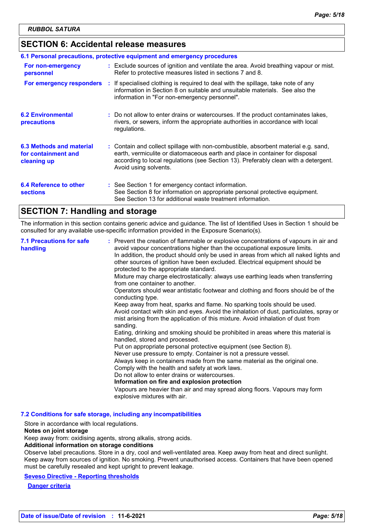## **SECTION 6: Accidental release measures**

| 6.1 Personal precautions, protective equipment and emergency procedures |  |                                                                                                                                                                                                                                                                                    |  |  |
|-------------------------------------------------------------------------|--|------------------------------------------------------------------------------------------------------------------------------------------------------------------------------------------------------------------------------------------------------------------------------------|--|--|
| For non-emergency<br>personnel                                          |  | : Exclude sources of ignition and ventilate the area. Avoid breathing vapour or mist.<br>Refer to protective measures listed in sections 7 and 8.                                                                                                                                  |  |  |
| For emergency responders                                                |  | : If specialised clothing is required to deal with the spillage, take note of any<br>information in Section 8 on suitable and unsuitable materials. See also the<br>information in "For non-emergency personnel".                                                                  |  |  |
| <b>6.2 Environmental</b><br>precautions                                 |  | : Do not allow to enter drains or watercourses. If the product contaminates lakes,<br>rivers, or sewers, inform the appropriate authorities in accordance with local<br>regulations.                                                                                               |  |  |
| 6.3 Methods and material<br>for containment and<br>cleaning up          |  | : Contain and collect spillage with non-combustible, absorbent material e.g. sand,<br>earth, vermiculite or diatomaceous earth and place in container for disposal<br>according to local regulations (see Section 13). Preferably clean with a detergent.<br>Avoid using solvents. |  |  |
| 6.4 Reference to other<br><b>sections</b>                               |  | : See Section 1 for emergency contact information.<br>See Section 8 for information on appropriate personal protective equipment.<br>See Section 13 for additional waste treatment information.                                                                                    |  |  |

## **SECTION 7: Handling and storage**

The information in this section contains generic advice and guidance. The list of Identified Uses in Section 1 should be consulted for any available use-specific information provided in the Exposure Scenario(s).

| <b>7.1 Precautions for safe</b><br>handling | : Prevent the creation of flammable or explosive concentrations of vapours in air and<br>avoid vapour concentrations higher than the occupational exposure limits.<br>In addition, the product should only be used in areas from which all naked lights and<br>other sources of ignition have been excluded. Electrical equipment should be<br>protected to the appropriate standard.<br>Mixture may charge electrostatically: always use earthing leads when transferring<br>from one container to another.<br>Operators should wear antistatic footwear and clothing and floors should be of the<br>conducting type.<br>Keep away from heat, sparks and flame. No sparking tools should be used.<br>Avoid contact with skin and eyes. Avoid the inhalation of dust, particulates, spray or<br>mist arising from the application of this mixture. Avoid inhalation of dust from<br>sanding.<br>Eating, drinking and smoking should be prohibited in areas where this material is<br>handled, stored and processed.<br>Put on appropriate personal protective equipment (see Section 8).<br>Never use pressure to empty. Container is not a pressure vessel.<br>Always keep in containers made from the same material as the original one.<br>Comply with the health and safety at work laws.<br>Do not allow to enter drains or watercourses.<br>Information on fire and explosion protection<br>Vapours are heavier than air and may spread along floors. Vapours may form<br>explosive mixtures with air. |
|---------------------------------------------|--------------------------------------------------------------------------------------------------------------------------------------------------------------------------------------------------------------------------------------------------------------------------------------------------------------------------------------------------------------------------------------------------------------------------------------------------------------------------------------------------------------------------------------------------------------------------------------------------------------------------------------------------------------------------------------------------------------------------------------------------------------------------------------------------------------------------------------------------------------------------------------------------------------------------------------------------------------------------------------------------------------------------------------------------------------------------------------------------------------------------------------------------------------------------------------------------------------------------------------------------------------------------------------------------------------------------------------------------------------------------------------------------------------------------------------------------------------------------------------------------------------|
|---------------------------------------------|--------------------------------------------------------------------------------------------------------------------------------------------------------------------------------------------------------------------------------------------------------------------------------------------------------------------------------------------------------------------------------------------------------------------------------------------------------------------------------------------------------------------------------------------------------------------------------------------------------------------------------------------------------------------------------------------------------------------------------------------------------------------------------------------------------------------------------------------------------------------------------------------------------------------------------------------------------------------------------------------------------------------------------------------------------------------------------------------------------------------------------------------------------------------------------------------------------------------------------------------------------------------------------------------------------------------------------------------------------------------------------------------------------------------------------------------------------------------------------------------------------------|

**7.2 Conditions for safe storage, including any incompatibilities**

Store in accordance with local regulations.

#### **Notes on joint storage**

Keep away from: oxidising agents, strong alkalis, strong acids.

#### **Additional information on storage conditions**

Observe label precautions. Store in a dry, cool and well-ventilated area. Keep away from heat and direct sunlight. Keep away from sources of ignition. No smoking. Prevent unauthorised access. Containers that have been opened must be carefully resealed and kept upright to prevent leakage.

**Seveso Directive - Reporting thresholds**

**Danger criteria**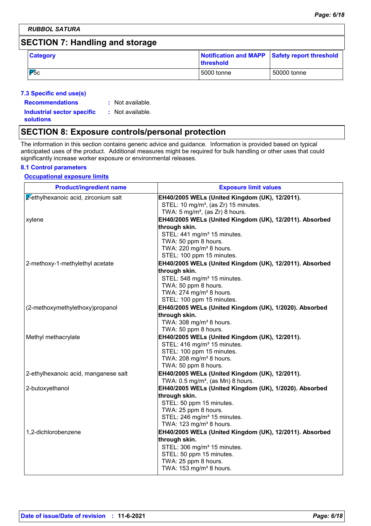## **SECTION 7: Handling and storage**

| <b>Category</b> | Notification and MAPP Safety report threshold<br><b>threshold</b> |             |
|-----------------|-------------------------------------------------------------------|-------------|
| $P_{\rm 5c}$    | 5000 tonne                                                        | 50000 tonne |

#### **7.3 Specific end use(s)**

| <b>Recommendations</b>                                | : Not available. |
|-------------------------------------------------------|------------------|
| <b>Industrial sector specific</b><br><b>solutions</b> | : Not available. |

## **SECTION 8: Exposure controls/personal protection**

The information in this section contains generic advice and guidance. Information is provided based on typical anticipated uses of the product. Additional measures might be required for bulk handling or other uses that could significantly increase worker exposure or environmental releases.

#### **8.1 Control parameters**

#### **Occupational exposure limits**

| <b>Product/ingredient name</b>       | <b>Exposure limit values</b>                                            |
|--------------------------------------|-------------------------------------------------------------------------|
| 2-ethylhexanoic acid, zirconium salt | EH40/2005 WELs (United Kingdom (UK), 12/2011).                          |
|                                      | STEL: 10 mg/m <sup>3</sup> , (as Zr) 15 minutes.                        |
|                                      | TWA: $5 \text{ mg/m}^3$ , (as Zr) 8 hours.                              |
| xylene                               | EH40/2005 WELs (United Kingdom (UK), 12/2011). Absorbed                 |
|                                      | through skin.                                                           |
|                                      | STEL: 441 mg/m <sup>3</sup> 15 minutes.                                 |
|                                      | TWA: 50 ppm 8 hours.<br>TWA: 220 mg/m <sup>3</sup> 8 hours.             |
|                                      | STEL: 100 ppm 15 minutes.                                               |
| 2-methoxy-1-methylethyl acetate      | EH40/2005 WELs (United Kingdom (UK), 12/2011). Absorbed                 |
|                                      | through skin.                                                           |
|                                      | STEL: 548 mg/m <sup>3</sup> 15 minutes.                                 |
|                                      | TWA: 50 ppm 8 hours.                                                    |
|                                      | TWA: 274 mg/m <sup>3</sup> 8 hours.                                     |
|                                      | STEL: 100 ppm 15 minutes.                                               |
| (2-methoxymethylethoxy)propanol      | EH40/2005 WELs (United Kingdom (UK), 1/2020). Absorbed                  |
|                                      | through skin.                                                           |
|                                      | TWA: 308 mg/m <sup>3</sup> 8 hours.                                     |
|                                      | TWA: 50 ppm 8 hours.                                                    |
| Methyl methacrylate                  | EH40/2005 WELs (United Kingdom (UK), 12/2011).                          |
|                                      | STEL: 416 mg/m <sup>3</sup> 15 minutes.                                 |
|                                      | STEL: 100 ppm 15 minutes.                                               |
|                                      | TWA: 208 mg/m <sup>3</sup> 8 hours.                                     |
|                                      | TWA: 50 ppm 8 hours.                                                    |
| 2-ethylhexanoic acid, manganese salt | EH40/2005 WELs (United Kingdom (UK), 12/2011).                          |
|                                      | TWA: $0.5 \text{ mg/m}^3$ , (as Mn) 8 hours.                            |
| 2-butoxyethanol                      | EH40/2005 WELs (United Kingdom (UK), 1/2020). Absorbed<br>through skin. |
|                                      | STEL: 50 ppm 15 minutes.                                                |
|                                      | TWA: 25 ppm 8 hours.                                                    |
|                                      | STEL: 246 mg/m <sup>3</sup> 15 minutes.                                 |
|                                      | TWA: 123 mg/m <sup>3</sup> 8 hours.                                     |
| 1,2-dichlorobenzene                  | EH40/2005 WELs (United Kingdom (UK), 12/2011). Absorbed                 |
|                                      | through skin.                                                           |
|                                      | STEL: 306 mg/m <sup>3</sup> 15 minutes.                                 |
|                                      | STEL: 50 ppm 15 minutes.                                                |
|                                      | TWA: 25 ppm 8 hours.                                                    |
|                                      | TWA: 153 mg/m <sup>3</sup> 8 hours.                                     |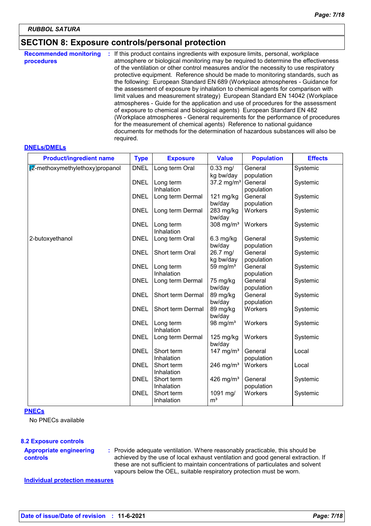## **SECTION 8: Exposure controls/personal protection**

| <b>Recommended monitoring</b><br>procedures | If this product contains ingredients with exposure limits, personal, workplace<br>÷.<br>atmosphere or biological monitoring may be required to determine the effectiveness<br>of the ventilation or other control measures and/or the necessity to use respiratory<br>protective equipment. Reference should be made to monitoring standards, such as<br>the following: European Standard EN 689 (Workplace atmospheres - Guidance for<br>the assessment of exposure by inhalation to chemical agents for comparison with<br>limit values and measurement strategy) European Standard EN 14042 (Workplace<br>atmospheres - Guide for the application and use of procedures for the assessment<br>of exposure to chemical and biological agents) European Standard EN 482<br>(Workplace atmospheres - General requirements for the performance of procedures<br>for the measurement of chemical agents) Reference to national guidance<br>documents for methods for the determination of hazardous substances will also be |
|---------------------------------------------|---------------------------------------------------------------------------------------------------------------------------------------------------------------------------------------------------------------------------------------------------------------------------------------------------------------------------------------------------------------------------------------------------------------------------------------------------------------------------------------------------------------------------------------------------------------------------------------------------------------------------------------------------------------------------------------------------------------------------------------------------------------------------------------------------------------------------------------------------------------------------------------------------------------------------------------------------------------------------------------------------------------------------|
|                                             | required.                                                                                                                                                                                                                                                                                                                                                                                                                                                                                                                                                                                                                                                                                                                                                                                                                                                                                                                                                                                                                 |

#### **DNELs/DMELs**

| <b>Product/ingredient name</b> | <b>Type</b> | <b>Exposure</b>   | <b>Value</b>           | <b>Population</b> | <b>Effects</b> |
|--------------------------------|-------------|-------------------|------------------------|-------------------|----------------|
| 2-methoxymethylethoxy)propanol | <b>DNEL</b> | Long term Oral    | $0.33$ mg/             | General           | Systemic       |
|                                |             |                   | kg bw/day              | population        |                |
|                                | <b>DNEL</b> | Long term         | 37.2 mg/m <sup>3</sup> | General           | Systemic       |
|                                |             | Inhalation        |                        | population        |                |
|                                | <b>DNEL</b> | Long term Dermal  | 121 mg/kg              | General           | Systemic       |
|                                |             |                   | bw/day                 | population        |                |
|                                | <b>DNEL</b> | Long term Dermal  | 283 mg/kg<br>bw/day    | Workers           | Systemic       |
|                                | <b>DNEL</b> | Long term         | 308 mg/ $m3$           | Workers           | Systemic       |
|                                |             | Inhalation        |                        |                   |                |
| 2-butoxyethanol                | <b>DNEL</b> | Long term Oral    | $6.3$ mg/kg            | General           | Systemic       |
|                                |             |                   | bw/day                 | population        |                |
|                                | <b>DNEL</b> | Short term Oral   | 26.7 mg/               | General           | Systemic       |
|                                |             |                   | kg bw/day              | population        |                |
|                                | <b>DNEL</b> | Long term         | 59 mg/ $m3$            | General           | Systemic       |
|                                |             | Inhalation        |                        | population        |                |
|                                | <b>DNEL</b> | Long term Dermal  | 75 mg/kg               | General           | Systemic       |
|                                |             |                   | bw/day                 | population        |                |
|                                | <b>DNEL</b> | Short term Dermal | 89 mg/kg               | General           | Systemic       |
|                                |             |                   | bw/day                 | population        |                |
|                                | <b>DNEL</b> | Short term Dermal | 89 mg/kg               | Workers           | Systemic       |
|                                |             |                   | bw/day                 |                   |                |
|                                | <b>DNEL</b> | Long term         | 98 mg/ $m3$            | Workers           | Systemic       |
|                                |             | Inhalation        |                        |                   |                |
|                                | <b>DNEL</b> | Long term Dermal  | 125 mg/kg              | Workers           | Systemic       |
|                                |             |                   | bw/day                 |                   |                |
|                                | <b>DNEL</b> | Short term        | 147 mg/m $3$           | General           | Local          |
|                                |             | Inhalation        |                        | population        |                |
|                                | <b>DNEL</b> | Short term        | 246 mg/m <sup>3</sup>  | Workers           | Local          |
|                                |             | Inhalation        |                        |                   |                |
|                                | <b>DNEL</b> | Short term        | 426 mg/m <sup>3</sup>  | General           | Systemic       |
|                                |             | Inhalation        |                        | population        |                |
|                                | <b>DNEL</b> | Short term        | 1091 mg/               | Workers           | Systemic       |
|                                |             | Inhalation        | m <sup>3</sup>         |                   |                |
|                                |             |                   |                        |                   |                |

#### **PNECs**

No PNECs available

#### **8.2 Exposure controls**

#### **Appropriate engineering controls**

**:** Provide adequate ventilation. Where reasonably practicable, this should be achieved by the use of local exhaust ventilation and good general extraction. If these are not sufficient to maintain concentrations of particulates and solvent vapours below the OEL, suitable respiratory protection must be worn.

**Individual protection measures**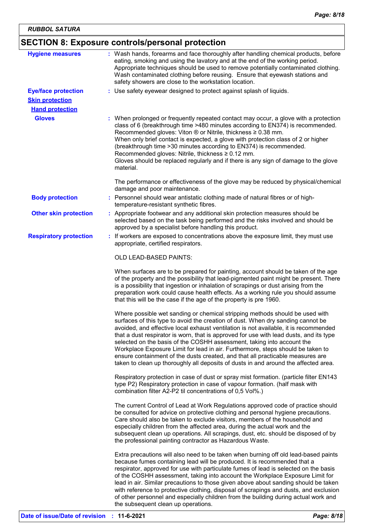## **SECTION 8: Exposure controls/personal protection**

| <b>Hygiene measures</b>                              |                                         | : Wash hands, forearms and face thoroughly after handling chemical products, before<br>eating, smoking and using the lavatory and at the end of the working period.<br>Appropriate techniques should be used to remove potentially contaminated clothing.<br>Wash contaminated clothing before reusing. Ensure that eyewash stations and<br>safety showers are close to the workstation location.                                                                                                                                                                                                                                                                                       |
|------------------------------------------------------|-----------------------------------------|-----------------------------------------------------------------------------------------------------------------------------------------------------------------------------------------------------------------------------------------------------------------------------------------------------------------------------------------------------------------------------------------------------------------------------------------------------------------------------------------------------------------------------------------------------------------------------------------------------------------------------------------------------------------------------------------|
| <b>Eye/face protection</b><br><b>Skin protection</b> |                                         | : Use safety eyewear designed to protect against splash of liquids.                                                                                                                                                                                                                                                                                                                                                                                                                                                                                                                                                                                                                     |
| <b>Hand protection</b>                               |                                         |                                                                                                                                                                                                                                                                                                                                                                                                                                                                                                                                                                                                                                                                                         |
| <b>Gloves</b>                                        | material.                               | : When prolonged or frequently repeated contact may occur, a glove with a protection<br>class of 6 (breakthrough time >480 minutes according to EN374) is recommended.<br>Recommended gloves: Viton ® or Nitrile, thickness ≥ 0.38 mm.<br>When only brief contact is expected, a glove with protection class of 2 or higher<br>(breakthrough time > 30 minutes according to EN374) is recommended.<br>Recommended gloves: Nitrile, thickness ≥ 0.12 mm.<br>Gloves should be replaced regularly and if there is any sign of damage to the glove                                                                                                                                          |
|                                                      | damage and poor maintenance.            | The performance or effectiveness of the glove may be reduced by physical/chemical                                                                                                                                                                                                                                                                                                                                                                                                                                                                                                                                                                                                       |
| <b>Body protection</b>                               | temperature-resistant synthetic fibres. | : Personnel should wear antistatic clothing made of natural fibres or of high-                                                                                                                                                                                                                                                                                                                                                                                                                                                                                                                                                                                                          |
| <b>Other skin protection</b>                         |                                         | : Appropriate footwear and any additional skin protection measures should be<br>selected based on the task being performed and the risks involved and should be<br>approved by a specialist before handling this product.                                                                                                                                                                                                                                                                                                                                                                                                                                                               |
| <b>Respiratory protection</b>                        | appropriate, certified respirators.     | : If workers are exposed to concentrations above the exposure limit, they must use                                                                                                                                                                                                                                                                                                                                                                                                                                                                                                                                                                                                      |
|                                                      | <b>OLD LEAD-BASED PAINTS:</b>           |                                                                                                                                                                                                                                                                                                                                                                                                                                                                                                                                                                                                                                                                                         |
|                                                      |                                         | When surfaces are to be prepared for painting, account should be taken of the age<br>of the property and the possibility that lead-pigmented paint might be present. There<br>is a possibility that ingestion or inhalation of scrapings or dust arising from the<br>preparation work could cause health effects. As a working rule you should assume<br>that this will be the case if the age of the property is pre 1960.                                                                                                                                                                                                                                                             |
|                                                      |                                         | Where possible wet sanding or chemical stripping methods should be used with<br>surfaces of this type to avoid the creation of dust. When dry sanding cannot be<br>avoided, and effective local exhaust ventilation is not available, it is recommended<br>that a dust respirator is worn, that is approved for use with lead dusts, and its type<br>selected on the basis of the COSHH assessment, taking into account the<br>Workplace Exposure Limit for lead in air. Furthermore, steps should be taken to<br>ensure containment of the dusts created, and that all practicable measures are<br>taken to clean up thoroughly all deposits of dusts in and around the affected area. |
|                                                      |                                         | Respiratory protection in case of dust or spray mist formation. (particle filter EN143<br>type P2) Respiratory protection in case of vapour formation. (half mask with<br>combination filter A2-P2 til concentrations of 0,5 Vol%.)                                                                                                                                                                                                                                                                                                                                                                                                                                                     |
|                                                      |                                         | The current Control of Lead at Work Regulations approved code of practice should<br>be consulted for advice on protective clothing and personal hygiene precautions.<br>Care should also be taken to exclude visitors, members of the household and<br>especially children from the affected area, during the actual work and the<br>subsequent clean up operations. All scrapings, dust, etc. should be disposed of by<br>the professional painting contractor as Hazardous Waste.                                                                                                                                                                                                     |
|                                                      |                                         | Extra precautions will also need to be taken when burning off old lead-based paints<br>because fumes containing lead will be produced. It is recommended that a<br>respirator, approved for use with particulate fumes of lead is selected on the basis<br>of the COSHH assessment, taking into account the Workplace Exposure Limit for<br>lead in air. Similar precautions to those given above about sanding should be taken<br>with reference to protective clothing, disposal of scrapings and dusts, and exclusion<br>of other personnel and especially children from the building during actual work and                                                                         |

the subsequent clean up operations.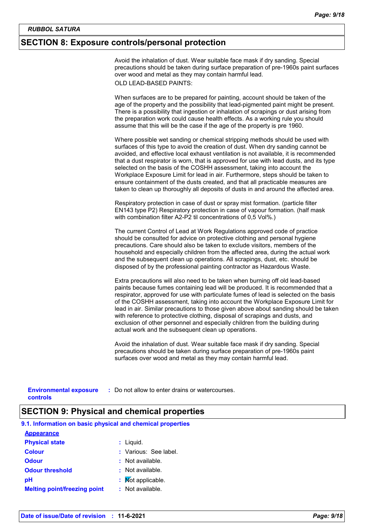### **SECTION 8: Exposure controls/personal protection**

Avoid the inhalation of dust. Wear suitable face mask if dry sanding. Special precautions should be taken during surface preparation of pre-1960s paint surfaces over wood and metal as they may contain harmful lead. OLD LEAD-BASED PAINTS:

When surfaces are to be prepared for painting, account should be taken of the age of the property and the possibility that lead-pigmented paint might be present. There is a possibility that ingestion or inhalation of scrapings or dust arising from the preparation work could cause health effects. As a working rule you should assume that this will be the case if the age of the property is pre 1960.

Where possible wet sanding or chemical stripping methods should be used with surfaces of this type to avoid the creation of dust. When dry sanding cannot be avoided, and effective local exhaust ventilation is not available, it is recommended that a dust respirator is worn, that is approved for use with lead dusts, and its type selected on the basis of the COSHH assessment, taking into account the Workplace Exposure Limit for lead in air. Furthermore, steps should be taken to ensure containment of the dusts created, and that all practicable measures are taken to clean up thoroughly all deposits of dusts in and around the affected area.

Respiratory protection in case of dust or spray mist formation. (particle filter EN143 type P2) Respiratory protection in case of vapour formation. (half mask with combination filter A2-P2 til concentrations of 0,5 Vol%.)

The current Control of Lead at Work Regulations approved code of practice should be consulted for advice on protective clothing and personal hygiene precautions. Care should also be taken to exclude visitors, members of the household and especially children from the affected area, during the actual work and the subsequent clean up operations. All scrapings, dust, etc. should be disposed of by the professional painting contractor as Hazardous Waste.

Extra precautions will also need to be taken when burning off old lead-based paints because fumes containing lead will be produced. It is recommended that a respirator, approved for use with particulate fumes of lead is selected on the basis of the COSHH assessment, taking into account the Workplace Exposure Limit for lead in air. Similar precautions to those given above about sanding should be taken with reference to protective clothing, disposal of scrapings and dusts, and exclusion of other personnel and especially children from the building during actual work and the subsequent clean up operations.

Avoid the inhalation of dust. Wear suitable face mask if dry sanding. Special precautions should be taken during surface preparation of pre-1960s paint surfaces over wood and metal as they may contain harmful lead.

**Environmental exposure :** Do not allow to enter drains or watercourses. **controls**

### **SECTION 9: Physical and chemical properties**

| 9.1. Information on basic physical and chemical properties |                       |
|------------------------------------------------------------|-----------------------|
| <b>Appearance</b>                                          |                       |
| <b>Physical state</b>                                      | $:$ Liquid.           |
| <b>Colour</b>                                              | : Various: See label. |
| <b>Odour</b>                                               | : Not available.      |
| <b>Odour threshold</b>                                     | : Not available.      |
| рH                                                         | : Mot applicable.     |
| <b>Melting point/freezing point</b>                        | : Not available.      |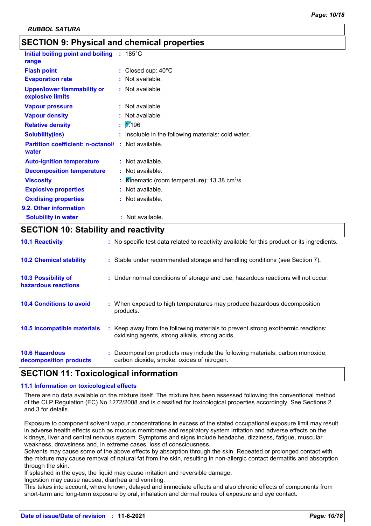## **SECTION 9: Physical and chemical properties**

| Initial boiling point and boiling                      | $: 185^{\circ}$ C                                           |
|--------------------------------------------------------|-------------------------------------------------------------|
| range                                                  |                                                             |
| <b>Flash point</b>                                     | : Closed cup: $40^{\circ}$ C                                |
| <b>Evaporation rate</b>                                | $:$ Not available.                                          |
| <b>Upper/lower flammability or</b><br>explosive limits | : Not available.                                            |
| <b>Vapour pressure</b>                                 | $:$ Not available.                                          |
| <b>Vapour density</b>                                  | $:$ Not available.                                          |
| <b>Relative density</b>                                | $\frac{1}{2}$ .196                                          |
| <b>Solubility(ies)</b>                                 | : Insoluble in the following materials: cold water.         |
| <b>Partition coefficient: n-octanol/</b><br>water      | : Not available.                                            |
| <b>Auto-ignition temperature</b>                       | $:$ Not available.                                          |
| <b>Decomposition temperature</b>                       | : Not available.                                            |
| <b>Viscosity</b>                                       | Kinematic (room temperature): $13.38 \text{ cm}^2/\text{s}$ |
| <b>Explosive properties</b>                            | : Not available.                                            |
| <b>Oxidising properties</b>                            | : Not available.                                            |
| 9.2. Other information                                 |                                                             |
| <b>Solubility in water</b>                             | : Not available.                                            |

## **SECTION 10: Stability and reactivity**

| <b>10.1 Reactivity</b>                            | : No specific test data related to reactivity available for this product or its ingredients.                                        |
|---------------------------------------------------|-------------------------------------------------------------------------------------------------------------------------------------|
| <b>10.2 Chemical stability</b>                    | : Stable under recommended storage and handling conditions (see Section 7).                                                         |
| <b>10.3 Possibility of</b><br>hazardous reactions | : Under normal conditions of storage and use, hazardous reactions will not occur.                                                   |
| <b>10.4 Conditions to avoid</b>                   | : When exposed to high temperatures may produce hazardous decomposition<br>products.                                                |
| 10.5 Incompatible materials                       | : Keep away from the following materials to prevent strong exothermic reactions:<br>oxidising agents, strong alkalis, strong acids. |
| <b>10.6 Hazardous</b><br>decomposition products   | : Decomposition products may include the following materials: carbon monoxide,<br>carbon dioxide, smoke, oxides of nitrogen.        |

## **SECTION 11: Toxicological information**

#### **11.1 Information on toxicological effects**

There are no data available on the mixture itself. The mixture has been assessed following the conventional method of the CLP Regulation (EC) No 1272/2008 and is classified for toxicological properties accordingly. See Sections 2 and 3 for details.

Exposure to component solvent vapour concentrations in excess of the stated occupational exposure limit may result in adverse health effects such as mucous membrane and respiratory system irritation and adverse effects on the kidneys, liver and central nervous system. Symptoms and signs include headache, dizziness, fatigue, muscular weakness, drowsiness and, in extreme cases, loss of consciousness.

Solvents may cause some of the above effects by absorption through the skin. Repeated or prolonged contact with the mixture may cause removal of natural fat from the skin, resulting in non-allergic contact dermatitis and absorption through the skin.

If splashed in the eyes, the liquid may cause irritation and reversible damage.

Ingestion may cause nausea, diarrhea and vomiting.

This takes into account, where known, delayed and immediate effects and also chronic effects of components from short-term and long-term exposure by oral, inhalation and dermal routes of exposure and eye contact.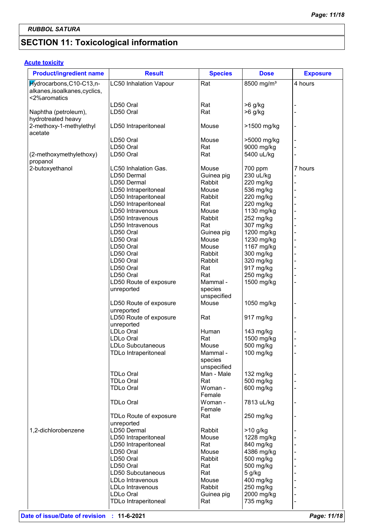## **SECTION 11: Toxicological information**

## **Acute toxicity**

| <b>Product/ingredient name</b>                             | <b>Result</b>                        | <b>Species</b>         | <b>Dose</b>            | <b>Exposure</b> |
|------------------------------------------------------------|--------------------------------------|------------------------|------------------------|-----------------|
| Hydrocarbons, C10-C13, n-<br>alkanes, isoalkanes, cyclics, | <b>LC50 Inhalation Vapour</b>        | Rat                    | 8500 mg/m <sup>3</sup> | 4 hours         |
| <2%aromatics                                               |                                      |                        |                        |                 |
|                                                            | LD50 Oral                            | Rat                    | $>6$ g/kg              |                 |
| Naphtha (petroleum),<br>hydrotreated heavy                 | LD50 Oral                            | Rat                    | $>6$ g/kg              |                 |
| 2-methoxy-1-methylethyl<br>acetate                         | LD50 Intraperitoneal                 | Mouse                  | >1500 mg/kg            |                 |
|                                                            | LD50 Oral                            | Mouse                  | >5000 mg/kg            |                 |
|                                                            | LD50 Oral                            | Rat                    | 9000 mg/kg             |                 |
| (2-methoxymethylethoxy)<br>propanol                        | LD50 Oral                            | Rat                    | 5400 uL/kg             |                 |
| 2-butoxyethanol                                            | LC50 Inhalation Gas.                 | Mouse                  | 700 ppm                | 7 hours         |
|                                                            | LD50 Dermal                          | Guinea pig             | 230 uL/kg              |                 |
|                                                            | LD50 Dermal                          | Rabbit                 | 220 mg/kg              |                 |
|                                                            | LD50 Intraperitoneal                 | Mouse                  | 536 mg/kg              |                 |
|                                                            | LD50 Intraperitoneal                 | Rabbit                 | 220 mg/kg              |                 |
|                                                            | LD50 Intraperitoneal                 | Rat                    | 220 mg/kg              |                 |
|                                                            | LD50 Intravenous                     | Mouse                  | 1130 mg/kg             |                 |
|                                                            | LD50 Intravenous                     | Rabbit                 | 252 mg/kg              |                 |
|                                                            | LD50 Intravenous                     | Rat                    | 307 mg/kg              |                 |
|                                                            | LD50 Oral                            | Guinea pig             | 1200 mg/kg             |                 |
|                                                            | LD50 Oral                            | Mouse                  | 1230 mg/kg             |                 |
|                                                            | LD50 Oral                            | Mouse                  | 1167 mg/kg             |                 |
|                                                            | LD50 Oral                            | Rabbit                 | 300 mg/kg              |                 |
|                                                            | LD50 Oral                            | Rabbit                 | 320 mg/kg              |                 |
|                                                            | LD50 Oral                            | Rat                    | 917 mg/kg              |                 |
|                                                            | LD50 Oral                            | Rat                    | 250 mg/kg              |                 |
|                                                            | LD50 Route of exposure               | Mammal -               | 1500 mg/kg             |                 |
|                                                            | unreported                           | species<br>unspecified |                        |                 |
|                                                            | LD50 Route of exposure<br>unreported | Mouse                  | 1050 mg/kg             |                 |
|                                                            | LD50 Route of exposure<br>unreported | Rat                    | 917 mg/kg              |                 |
|                                                            | LDLo Oral                            | Human                  | 143 mg/kg              |                 |
|                                                            | LDLo Oral                            | Rat                    | 1500 mg/kg             |                 |
|                                                            | LDLo Subcutaneous                    | Mouse                  | 500 mg/kg              |                 |
|                                                            | <b>TDLo Intraperitoneal</b>          | Mammal -<br>species    | 100 mg/kg              |                 |
|                                                            |                                      | unspecified            |                        |                 |
|                                                            | <b>TDLo Oral</b>                     | Man - Male             | 132 mg/kg              |                 |
|                                                            | <b>TDLo Oral</b>                     | Rat                    | 500 mg/kg              |                 |
|                                                            | <b>TDLo Oral</b>                     | Woman -<br>Female      | 600 mg/kg              |                 |
|                                                            | <b>TDLo Oral</b>                     | Woman -<br>Female      | 7813 uL/kg             |                 |
|                                                            | TDLo Route of exposure<br>unreported | Rat                    | 250 mg/kg              |                 |
| 1,2-dichlorobenzene                                        | LD50 Dermal                          | Rabbit                 | $>10$ g/kg             |                 |
|                                                            | LD50 Intraperitoneal                 | Mouse                  | 1228 mg/kg             |                 |
|                                                            | LD50 Intraperitoneal                 | Rat                    | 840 mg/kg              |                 |
|                                                            | LD50 Oral                            | Mouse                  | 4386 mg/kg             |                 |
|                                                            | LD50 Oral                            | Rabbit                 | 500 mg/kg              |                 |
|                                                            | LD50 Oral                            | Rat                    | 500 mg/kg              |                 |
|                                                            | LD50 Subcutaneous                    | Rat                    | 5 g/kg                 |                 |
|                                                            | LDLo Intravenous                     | Mouse                  | 400 mg/kg              |                 |
|                                                            | LDLo Intravenous                     | Rabbit                 | 250 mg/kg              |                 |
|                                                            | LDLo Oral                            | Guinea pig             | 2000 mg/kg             |                 |
|                                                            | <b>TDLo Intraperitoneal</b>          | Rat                    | 735 mg/kg              |                 |
|                                                            |                                      |                        |                        |                 |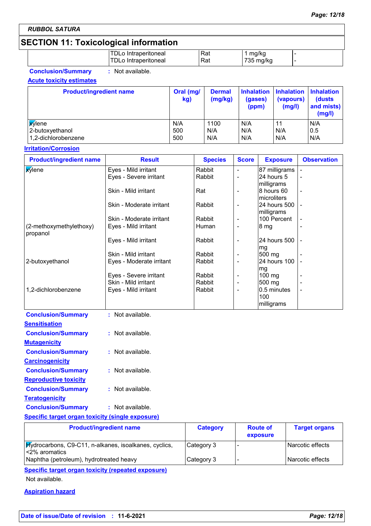## **SECTION 11: Toxicological information**

| DLo Intraperitoneal | Rat | ma/ka         |  |
|---------------------|-----|---------------|--|
| DLo Intraperitoneal | Rat | 735.<br>mq/ka |  |

**Conclusion/Summary :** Not available.

#### **Acute toxicity estimates**

| <b>Product/ingredient name</b> | Oral (mg/<br>kg) | <b>Dermal</b><br>(mg/kg) | (gases)<br>(ppm) | Inhalation   Inhalation   Inhalation<br>(vapours)<br>(mg/l) | (dusts)<br>and mists)<br>(mg/l) |
|--------------------------------|------------------|--------------------------|------------------|-------------------------------------------------------------|---------------------------------|
| <b>Xylene</b>                  | N/A              | 1100                     | N/A              | 11                                                          | N/A                             |
| 2-butoxyethanol                | 500              | N/A                      | N/A              | N/A                                                         | 0.5                             |
| 1,2-dichlorobenzene            | 500              | N/A                      | N/A              | N/A                                                         | N/A                             |

#### **Irritation/Corrosion**

| <b>Product/ingredient name</b>      | <b>Result</b>            | <b>Species</b> | <b>Score</b>             | <b>Exposure</b>                  | <b>Observation</b> |
|-------------------------------------|--------------------------|----------------|--------------------------|----------------------------------|--------------------|
| <b>X</b> ylene                      | Eyes - Mild irritant     | Rabbit         | $\blacksquare$           | 87 milligrams                    |                    |
|                                     | Eyes - Severe irritant   | Rabbit         |                          | 24 hours 5<br>milligrams         |                    |
|                                     | Skin - Mild irritant     | Rat            | ۰                        | 8 hours 60<br>microliters        |                    |
|                                     | Skin - Moderate irritant | Rabbit         | $\blacksquare$           | 24 hours 500<br>milligrams       |                    |
|                                     | Skin - Moderate irritant | Rabbit         |                          | 100 Percent                      |                    |
| (2-methoxymethylethoxy)<br>propanol | Eyes - Mild irritant     | Human          | $\overline{\phantom{a}}$ | 8 mg                             |                    |
|                                     | Eyes - Mild irritant     | Rabbit         | $\overline{\phantom{a}}$ | 24 hours 500<br>mg               |                    |
|                                     | Skin - Mild irritant     | Rabbit         | ۰                        | 500 mg                           |                    |
| 2-butoxyethanol                     | Eyes - Moderate irritant | Rabbit         |                          | 24 hours 100<br>mg               |                    |
|                                     | Eyes - Severe irritant   | Rabbit         | $\overline{\phantom{a}}$ | $100$ mg                         |                    |
|                                     | Skin - Mild irritant     | Rabbit         | -                        | 500 mg                           |                    |
| 1,2-dichlorobenzene                 | Eyes - Mild irritant     | Rabbit         | $\overline{\phantom{a}}$ | 0.5 minutes<br>100<br>milligrams |                    |

| <b>Conclusion/Summary</b>    | : Not available.   |
|------------------------------|--------------------|
| Sensitisation                |                    |
| <b>Conclusion/Summary</b>    | $:$ Not available. |
| <u>Mutaqenicity</u>          |                    |
| <b>Conclusion/Summary</b>    | : Not available.   |
| <b>Carcinogenicity</b>       |                    |
| <b>Conclusion/Summary</b>    | $:$ Not available. |
| <b>Reproductive toxicity</b> |                    |
| <b>Conclusion/Summary</b>    | : Not available.   |
| <b>Teratogenicity</b>        |                    |
| <b>Conclusion/Summary</b>    | $:$ Not available. |

#### **Specific target organ toxicity (single exposure)**

| <b>Product/ingredient name</b>                                                 | <b>Category</b> | <b>Route of</b><br>exposure | <b>Target organs</b> |
|--------------------------------------------------------------------------------|-----------------|-----------------------------|----------------------|
| <b>Hydrocarbons, C9-C11, n-alkanes, isoalkanes, cyclics,</b><br>l<2% aromatics | Category 3      |                             | l Narcotic effects   |
| Naphtha (petroleum), hydrotreated heavy                                        | Category 3      |                             | l Narcotic effects   |

**Specific target organ toxicity (repeated exposure)**

Not available.

#### **Aspiration hazard**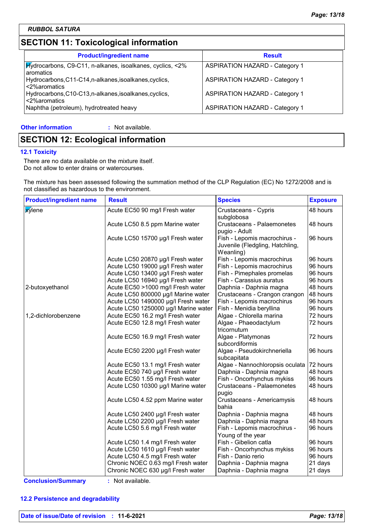## **SECTION 11: Toxicological information**

| <b>Product/ingredient name</b>                                                   | <b>Result</b>                         |
|----------------------------------------------------------------------------------|---------------------------------------|
| <b>Hydrocarbons, C9-C11, n-alkanes, isoalkanes, cyclics, &lt;2%</b><br>aromatics | <b>ASPIRATION HAZARD - Category 1</b> |
| Hydrocarbons, C11-C14, n-alkanes, isoalkanes, cyclics,<br><2%aromatics           | <b>ASPIRATION HAZARD - Category 1</b> |
| Hydrocarbons, C10-C13, n-alkanes, isoalkanes, cyclics,<br><2%aromatics           | <b>ASPIRATION HAZARD - Category 1</b> |
| Naphtha (petroleum), hydrotreated heavy                                          | <b>ASPIRATION HAZARD - Category 1</b> |

#### **Other information :**

: Not available.

## **SECTION 12: Ecological information**

#### **12.1 Toxicity**

There are no data available on the mixture itself. Do not allow to enter drains or watercourses.

The mixture has been assessed following the summation method of the CLP Regulation (EC) No 1272/2008 and is not classified as hazardous to the environment.

| <b>Product/ingredient name</b> | <b>Result</b>                        | <b>Species</b>                                                               | <b>Exposure</b> |
|--------------------------------|--------------------------------------|------------------------------------------------------------------------------|-----------------|
| <b>X</b> ylene                 | Acute EC50 90 mg/l Fresh water       | Crustaceans - Cypris<br>subglobosa                                           | 48 hours        |
|                                | Acute LC50 8.5 ppm Marine water      | <b>Crustaceans - Palaemonetes</b><br>pugio - Adult                           | 48 hours        |
|                                | Acute LC50 15700 µg/l Fresh water    | Fish - Lepomis macrochirus -<br>Juvenile (Fledgling, Hatchling,<br>Weanling) | 96 hours        |
|                                | Acute LC50 20870 µg/l Fresh water    | Fish - Lepomis macrochirus                                                   | 96 hours        |
|                                | Acute LC50 19000 µg/l Fresh water    | Fish - Lepomis macrochirus                                                   | 96 hours        |
|                                | Acute LC50 13400 µg/l Fresh water    | Fish - Pimephales promelas                                                   | 96 hours        |
|                                | Acute LC50 16940 µg/l Fresh water    | Fish - Carassius auratus                                                     | 96 hours        |
| 2-butoxyethanol                | Acute EC50 >1000 mg/l Fresh water    | Daphnia - Daphnia magna                                                      | 48 hours        |
|                                | Acute LC50 800000 µg/l Marine water  | Crustaceans - Crangon crangon                                                | 48 hours        |
|                                | Acute LC50 1490000 µg/l Fresh water  | Fish - Lepomis macrochirus                                                   | 96 hours        |
|                                | Acute LC50 1250000 µg/l Marine water | Fish - Menidia beryllina                                                     | 96 hours        |
| 1,2-dichlorobenzene            | Acute EC50 16.2 mg/l Fresh water     | Algae - Chlorella marina                                                     | 72 hours        |
|                                | Acute EC50 12.8 mg/l Fresh water     | Algae - Phaeodactylum<br>tricornutum                                         | 72 hours        |
|                                | Acute EC50 16.9 mg/l Fresh water     | Algae - Platymonas<br>subcordiformis                                         | 72 hours        |
|                                | Acute EC50 2200 µg/l Fresh water     | Algae - Pseudokirchneriella<br>subcapitata                                   | 96 hours        |
|                                | Acute EC50 13.1 mg/l Fresh water     | Algae - Nannochloropsis oculata                                              | 72 hours        |
|                                | Acute EC50 740 µg/l Fresh water      | Daphnia - Daphnia magna                                                      | 48 hours        |
|                                | Acute EC50 1.55 mg/l Fresh water     | Fish - Oncorhynchus mykiss                                                   | 96 hours        |
|                                | Acute LC50 10300 µg/l Marine water   | <b>Crustaceans - Palaemonetes</b><br>pugio                                   | 48 hours        |
|                                | Acute LC50 4.52 ppm Marine water     | Crustaceans - Americamysis<br>bahia                                          | 48 hours        |
|                                | Acute LC50 2400 µg/l Fresh water     | Daphnia - Daphnia magna                                                      | 48 hours        |
|                                | Acute LC50 2200 µg/l Fresh water     | Daphnia - Daphnia magna                                                      | 48 hours        |
|                                | Acute LC50 5.6 mg/l Fresh water      | Fish - Lepomis macrochirus -<br>Young of the year                            | 96 hours        |
|                                | Acute LC50 1.4 mg/l Fresh water      | Fish - Gibelion catla                                                        | 96 hours        |
|                                | Acute LC50 1610 µg/l Fresh water     | Fish - Oncorhynchus mykiss                                                   | 96 hours        |
|                                | Acute LC50 4.5 mg/l Fresh water      | Fish - Danio rerio                                                           | 96 hours        |
|                                | Chronic NOEC 0.63 mg/l Fresh water   | Daphnia - Daphnia magna                                                      | 21 days         |
|                                | Chronic NOEC 630 µg/l Fresh water    | Daphnia - Daphnia magna                                                      | 21 days         |

**Conclusion/Summary :** Not available.

#### **12.2 Persistence and degradability**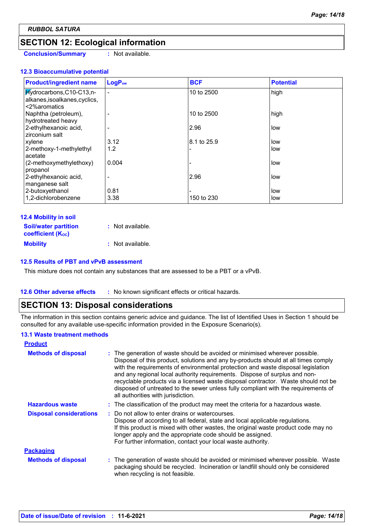## **SECTION 12: Ecological information**

**Conclusion/Summary :** Not available.

#### **12.3 Bioaccumulative potential**

| <b>Product/ingredient name</b>             | LogP <sub>ow</sub> | <b>BCF</b>  | <b>Potential</b> |
|--------------------------------------------|--------------------|-------------|------------------|
| $Mydrocarbons, C10-C13, n-$                | $\blacksquare$     | 10 to 2500  | high             |
| alkanes, isoalkanes, cyclics,              |                    |             |                  |
| <2%aromatics                               |                    | 10 to 2500  |                  |
| Naphtha (petroleum),<br>hydrotreated heavy |                    |             | high             |
| 2-ethylhexanoic acid,                      |                    | 2.96        | low              |
| zirconium salt                             |                    |             |                  |
| xylene                                     | 3.12               | 8.1 to 25.9 | low              |
| 2-methoxy-1-methylethyl                    | 1.2                |             | low              |
| acetate                                    |                    |             |                  |
| (2-methoxymethylethoxy)                    | 0.004              |             | low              |
| propanol                                   |                    |             |                  |
| 2-ethylhexanoic acid,                      |                    | 2.96        | low              |
| manganese salt                             |                    |             |                  |
| 2-butoxyethanol                            | 0.81               |             | low              |
| 1,2-dichlorobenzene                        | 3.38               | 150 to 230  | low              |

#### **12.4 Mobility in soil**

| <b>Soil/water partition</b>           | $:$ Not available. |
|---------------------------------------|--------------------|
| <b>coefficient</b> (K <sub>oc</sub> ) |                    |
| <b>Mobility</b>                       | : Not available.   |

#### **12.5 Results of PBT and vPvB assessment**

This mixture does not contain any substances that are assessed to be a PBT or a vPvB.

#### **12.6 Other adverse effects** : No known significant effects or critical hazards.

### **SECTION 13: Disposal considerations**

The information in this section contains generic advice and guidance. The list of Identified Uses in Section 1 should be consulted for any available use-specific information provided in the Exposure Scenario(s).

#### **13.1 Waste treatment methods**

| <b>Product</b>                 |                                                                                                                                                                                                                                                                                                                                                                                                                                                                                                                                                      |  |
|--------------------------------|------------------------------------------------------------------------------------------------------------------------------------------------------------------------------------------------------------------------------------------------------------------------------------------------------------------------------------------------------------------------------------------------------------------------------------------------------------------------------------------------------------------------------------------------------|--|
| <b>Methods of disposal</b>     | : The generation of waste should be avoided or minimised wherever possible.<br>Disposal of this product, solutions and any by-products should at all times comply<br>with the requirements of environmental protection and waste disposal legislation<br>and any regional local authority requirements. Dispose of surplus and non-<br>recyclable products via a licensed waste disposal contractor. Waste should not be<br>disposed of untreated to the sewer unless fully compliant with the requirements of<br>all authorities with jurisdiction. |  |
| <b>Hazardous waste</b>         | : The classification of the product may meet the criteria for a hazardous waste.                                                                                                                                                                                                                                                                                                                                                                                                                                                                     |  |
| <b>Disposal considerations</b> | : Do not allow to enter drains or watercourses.<br>Dispose of according to all federal, state and local applicable regulations.<br>If this product is mixed with other wastes, the original waste product code may no<br>longer apply and the appropriate code should be assigned.<br>For further information, contact your local waste authority.                                                                                                                                                                                                   |  |
| <b>Packaging</b>               |                                                                                                                                                                                                                                                                                                                                                                                                                                                                                                                                                      |  |
| <b>Methods of disposal</b>     | : The generation of waste should be avoided or minimised wherever possible. Waste<br>packaging should be recycled. Incineration or landfill should only be considered<br>when recycling is not feasible.                                                                                                                                                                                                                                                                                                                                             |  |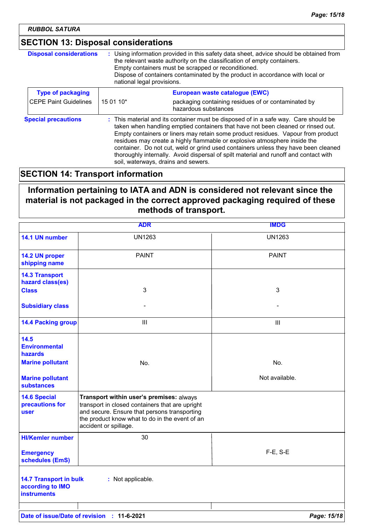## **SECTION 13: Disposal considerations**

| <b>Disposal considerations</b> | : Using information provided in this safety data sheet, advice should be obtained from<br>the relevant waste authority on the classification of empty containers.<br>Empty containers must be scrapped or reconditioned.<br>Dispose of containers contaminated by the product in accordance with local or<br>national legal provisions. |                                                                                                                                                                                                                                                                                                                                                                                                                                                                                                                                                               |
|--------------------------------|-----------------------------------------------------------------------------------------------------------------------------------------------------------------------------------------------------------------------------------------------------------------------------------------------------------------------------------------|---------------------------------------------------------------------------------------------------------------------------------------------------------------------------------------------------------------------------------------------------------------------------------------------------------------------------------------------------------------------------------------------------------------------------------------------------------------------------------------------------------------------------------------------------------------|
| <b>Type of packaging</b>       |                                                                                                                                                                                                                                                                                                                                         | European waste catalogue (EWC)                                                                                                                                                                                                                                                                                                                                                                                                                                                                                                                                |
| <b>CEPE Paint Guidelines</b>   | 15 01 10*                                                                                                                                                                                                                                                                                                                               | packaging containing residues of or contaminated by<br>hazardous substances                                                                                                                                                                                                                                                                                                                                                                                                                                                                                   |
| <b>Special precautions</b>     |                                                                                                                                                                                                                                                                                                                                         | : This material and its container must be disposed of in a safe way. Care should be<br>taken when handling emptied containers that have not been cleaned or rinsed out.<br>Empty containers or liners may retain some product residues. Vapour from product<br>residues may create a highly flammable or explosive atmosphere inside the<br>container. Do not cut, weld or grind used containers unless they have been cleaned<br>thoroughly internally. Avoid dispersal of spilt material and runoff and contact with<br>soil, waterways, drains and sewers. |

## **SECTION 14: Transport information**

**Information pertaining to IATA and ADN is considered not relevant since the material is not packaged in the correct approved packaging required of these methods of transport.**

|                                                                         | <b>ADR</b>                                                                                                                                                                                                             | <b>IMDG</b>    |
|-------------------------------------------------------------------------|------------------------------------------------------------------------------------------------------------------------------------------------------------------------------------------------------------------------|----------------|
| 14.1 UN number                                                          | <b>UN1263</b>                                                                                                                                                                                                          | <b>UN1263</b>  |
| 14.2 UN proper<br>shipping name                                         | <b>PAINT</b>                                                                                                                                                                                                           | <b>PAINT</b>   |
| <b>14.3 Transport</b><br>hazard class(es)                               |                                                                                                                                                                                                                        |                |
| <b>Class</b>                                                            | 3                                                                                                                                                                                                                      | 3              |
| <b>Subsidiary class</b>                                                 |                                                                                                                                                                                                                        |                |
| <b>14.4 Packing group</b>                                               | $\mathbf{III}$                                                                                                                                                                                                         | III            |
| 14.5<br><b>Environmental</b><br><b>hazards</b>                          |                                                                                                                                                                                                                        |                |
| <b>Marine pollutant</b>                                                 | No.                                                                                                                                                                                                                    | No.            |
| <b>Marine pollutant</b><br><b>substances</b>                            |                                                                                                                                                                                                                        | Not available. |
| <b>14.6 Special</b><br>precautions for<br>user                          | Transport within user's premises: always<br>transport in closed containers that are upright<br>and secure. Ensure that persons transporting<br>the product know what to do in the event of an<br>accident or spillage. |                |
| <b>HI/Kemler number</b>                                                 | 30                                                                                                                                                                                                                     |                |
| <b>Emergency</b><br>schedules (EmS)                                     |                                                                                                                                                                                                                        | $F-E$ , S-E    |
| <b>14.7 Transport in bulk</b><br>according to IMO<br><b>instruments</b> | : Not applicable.                                                                                                                                                                                                      |                |
|                                                                         |                                                                                                                                                                                                                        |                |
|                                                                         | Date of issue/Date of revision : 11-6-2021                                                                                                                                                                             | Page: 15/18    |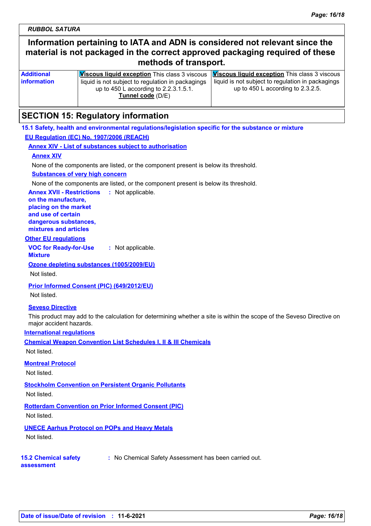## **Information pertaining to IATA and ADN is considered not relevant since the material is not packaged in the correct approved packaging required of these methods of transport.**

| <b>Additional</b>  | <b>Viscous liquid exception</b> This class 3 viscous <b>Viscous liquid exception</b> This class 3 viscous |                                                     |
|--------------------|-----------------------------------------------------------------------------------------------------------|-----------------------------------------------------|
| <b>information</b> | liquid is not subject to regulation in packagings                                                         | l liquid is not subject to regulation in packagings |
|                    | up to 450 L according to 2.2.3.1.5.1.                                                                     | up to $450$ L according to $2.3.2.5$ .              |
|                    | Tunnel code (D/E)                                                                                         |                                                     |
|                    |                                                                                                           |                                                     |

## **SECTION 15: Regulatory information**

**15.1 Safety, health and environmental regulations/legislation specific for the substance or mixture EU Regulation (EC) No. 1907/2006 (REACH)**

**Annex XIV - List of substances subject to authorisation**

#### **Annex XIV**

None of the components are listed, or the component present is below its threshold.

#### **Substances of very high concern**

None of the components are listed, or the component present is below its threshold.

**Annex XVII - Restrictions :** Not applicable.

**on the manufacture, placing on the market and use of certain dangerous substances, mixtures and articles**

#### **Other EU regulations**

**VOC for Ready-for-Use Mixture :** Not applicable.

**Ozone depleting substances (1005/2009/EU)**

Not listed.

**Prior Informed Consent (PIC) (649/2012/EU)**

#### Not listed.

#### **Seveso Directive**

This product may add to the calculation for determining whether a site is within the scope of the Seveso Directive on major accident hazards.

#### **International regulations**

**Chemical Weapon Convention List Schedules I, II & III Chemicals**

Not listed.

#### **Montreal Protocol**

Not listed.

#### **Stockholm Convention on Persistent Organic Pollutants**

Not listed.

**Rotterdam Convention on Prior Informed Consent (PIC)**

Not listed.

#### **UNECE Aarhus Protocol on POPs and Heavy Metals**

Not listed.

**assessment**

#### **15.2 Chemical safety**

**:** No Chemical Safety Assessment has been carried out.

**Date of issue/Date of revision : 11-6-2021** *Page: 16/18*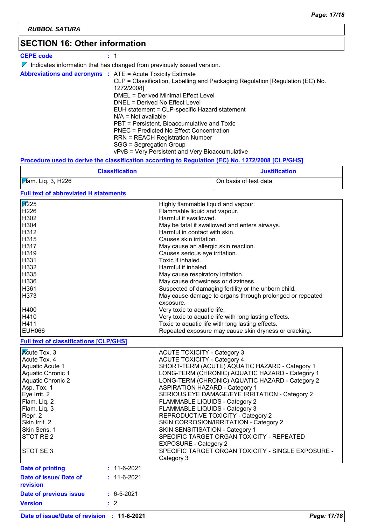## **SECTION 16: Other information**

| <b>CEPE code</b> |                                                                                                                                                                                                                                                                                                                                                                                                                                                                                                                                 |
|------------------|---------------------------------------------------------------------------------------------------------------------------------------------------------------------------------------------------------------------------------------------------------------------------------------------------------------------------------------------------------------------------------------------------------------------------------------------------------------------------------------------------------------------------------|
|                  | $\triangledown$ Indicates information that has changed from previously issued version.                                                                                                                                                                                                                                                                                                                                                                                                                                          |
|                  | <b>Abbreviations and acronyms : ATE = Acute Toxicity Estimate</b><br>CLP = Classification, Labelling and Packaging Regulation [Regulation (EC) No.<br>1272/2008]<br>DMEL = Derived Minimal Effect Level<br>DNEL = Derived No Effect Level<br>EUH statement = CLP-specific Hazard statement<br>$N/A = Not available$<br>PBT = Persistent. Bioaccumulative and Toxic<br>PNEC = Predicted No Effect Concentration<br>RRN = REACH Registration Number<br>SGG = Segregation Group<br>vPvB = Very Persistent and Very Bioaccumulative |

#### **Procedure used to derive the classification according to Regulation (EC) No. 1272/2008 [CLP/GHS]**

| <b>Classification</b> | <b>Justification</b>  |
|-----------------------|-----------------------|
| Mam. Liq. 3, H226     | On basis of test data |

#### **Full text of abbreviated H statements**

| <b>H225</b>                                   |                  | Highly flammable liquid and vapour.                      |
|-----------------------------------------------|------------------|----------------------------------------------------------|
| H226                                          |                  | Flammable liquid and vapour.                             |
| H302                                          |                  | Harmful if swallowed.                                    |
| H304                                          |                  | May be fatal if swallowed and enters airways.            |
| H312                                          |                  | Harmful in contact with skin.                            |
| H315                                          |                  | Causes skin irritation.                                  |
| H317                                          |                  | May cause an allergic skin reaction.                     |
| H319                                          |                  | Causes serious eye irritation.                           |
| H331                                          |                  | Toxic if inhaled.                                        |
| H332                                          |                  | Harmful if inhaled.                                      |
| H335                                          |                  | May cause respiratory irritation.                        |
| H336                                          |                  | May cause drowsiness or dizziness.                       |
| H361                                          |                  | Suspected of damaging fertility or the unborn child.     |
| H373                                          |                  | May cause damage to organs through prolonged or repeated |
|                                               |                  | exposure.                                                |
| H400                                          |                  | Very toxic to aquatic life.                              |
| H410                                          |                  | Very toxic to aquatic life with long lasting effects.    |
| H411                                          |                  | Toxic to aquatic life with long lasting effects.         |
| <b>EUH066</b>                                 |                  | Repeated exposure may cause skin dryness or cracking.    |
| <b>Full text of classifications [CLP/GHS]</b> |                  |                                                          |
| <b>Acute Tox. 3</b>                           |                  | <b>ACUTE TOXICITY - Category 3</b>                       |
| Acute Tox. 4                                  |                  | <b>ACUTE TOXICITY - Category 4</b>                       |
| Aquatic Acute 1                               |                  | SHORT-TERM (ACUTE) AQUATIC HAZARD - Category 1           |
| <b>Aquatic Chronic 1</b>                      |                  | LONG-TERM (CHRONIC) AQUATIC HAZARD - Category 1          |
| <b>Aquatic Chronic 2</b>                      |                  | LONG-TERM (CHRONIC) AQUATIC HAZARD - Category 2          |
| Asp. Tox. 1                                   |                  | <b>ASPIRATION HAZARD - Category 1</b>                    |
| Eye Irrit. 2                                  |                  | SERIOUS EYE DAMAGE/EYE IRRITATION - Category 2           |
| Flam. Liq. 2                                  |                  | FLAMMABLE LIQUIDS - Category 2                           |
| Flam. Liq. 3                                  |                  | FLAMMABLE LIQUIDS - Category 3                           |
| Repr. 2                                       |                  | REPRODUCTIVE TOXICITY - Category 2                       |
| Skin Irrit. 2                                 |                  | SKIN CORROSION/IRRITATION - Category 2                   |
| Skin Sens. 1                                  |                  | SKIN SENSITISATION - Category 1                          |
| STOT RE <sub>2</sub>                          |                  | SPECIFIC TARGET ORGAN TOXICITY - REPEATED                |
|                                               |                  | <b>EXPOSURE - Category 2</b>                             |
| STOT SE 3                                     |                  | SPECIFIC TARGET ORGAN TOXICITY - SINGLE EXPOSURE -       |
|                                               |                  | Category 3                                               |
| <b>Date of printing</b>                       | $: 11-6-2021$    |                                                          |
| Date of issue/ Date of                        | $: 11-6-2021$    |                                                          |
| revision                                      |                  |                                                          |
|                                               | $: 6 - 5 - 2021$ |                                                          |
| Date of previous issue                        |                  |                                                          |
| <b>Version</b>                                | $\therefore$ 2   |                                                          |
| Date of issue/Date of revision : 11-6-2021    |                  | Page: 17/18                                              |